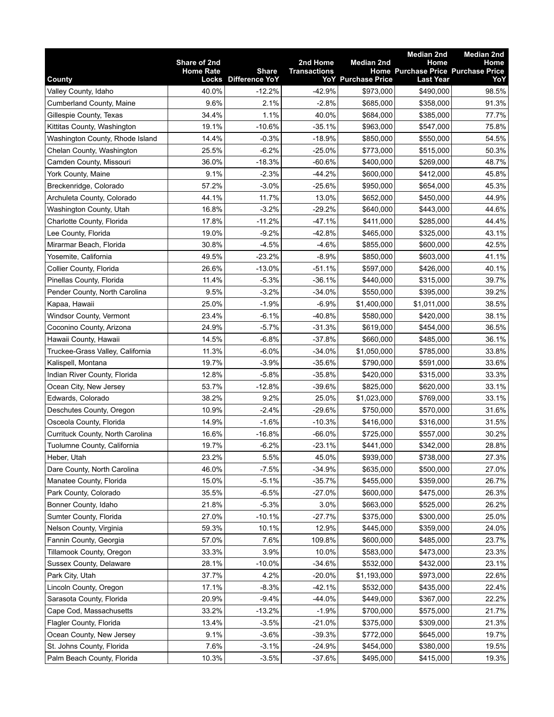|                                  |                  |                                      |                     |                           | <b>Median 2nd</b>                                             | <b>Median 2nd</b> |
|----------------------------------|------------------|--------------------------------------|---------------------|---------------------------|---------------------------------------------------------------|-------------------|
|                                  | Share of 2nd     |                                      | 2nd Home            | <b>Median 2nd</b>         | Home                                                          | Home              |
| County                           | <b>Home Rate</b> | <b>Share</b><br>Locks Difference YoY | <b>Transactions</b> | <b>YoY</b> Purchase Price | <b>Home Purchase Price Purchase Price</b><br><b>Last Year</b> | YoY               |
| Valley County, Idaho             | 40.0%            | $-12.2%$                             | $-42.9%$            | \$973,000                 | \$490,000                                                     | 98.5%             |
| Cumberland County, Maine         | 9.6%             | 2.1%                                 | $-2.8%$             | \$685,000                 | \$358,000                                                     | 91.3%             |
| Gillespie County, Texas          | 34.4%            | 1.1%                                 | 40.0%               | \$684,000                 | \$385,000                                                     | 77.7%             |
| Kittitas County, Washington      | 19.1%            | $-10.6%$                             | $-35.1%$            | \$963,000                 | \$547,000                                                     | 75.8%             |
| Washington County, Rhode Island  | 14.4%            | $-0.3%$                              | $-18.9%$            | \$850,000                 | \$550,000                                                     | 54.5%             |
| Chelan County, Washington        | 25.5%            | $-6.2%$                              | $-25.0%$            | \$773,000                 | \$515,000                                                     | 50.3%             |
| Camden County, Missouri          | 36.0%            | $-18.3%$                             | $-60.6%$            | \$400,000                 | \$269,000                                                     | 48.7%             |
| York County, Maine               | 9.1%             | $-2.3%$                              | $-44.2%$            | \$600,000                 | \$412,000                                                     | 45.8%             |
| Breckenridge, Colorado           | 57.2%            | $-3.0%$                              | $-25.6%$            | \$950,000                 | \$654,000                                                     | 45.3%             |
| Archuleta County, Colorado       | 44.1%            | 11.7%                                | 13.0%               | \$652,000                 | \$450,000                                                     | 44.9%             |
| Washington County, Utah          | 16.8%            | $-3.2%$                              | $-29.2%$            | \$640,000                 | \$443,000                                                     | 44.6%             |
| Charlotte County, Florida        | 17.8%            | $-11.2%$                             | $-47.1%$            | \$411,000                 | \$285,000                                                     | 44.4%             |
| Lee County, Florida              | 19.0%            | $-9.2%$                              | $-42.8%$            | \$465,000                 | \$325,000                                                     | 43.1%             |
| Mirarmar Beach, Florida          | 30.8%            | $-4.5%$                              | $-4.6%$             | \$855,000                 | \$600,000                                                     | 42.5%             |
| Yosemite, California             | 49.5%            | $-23.2%$                             | $-8.9%$             | \$850,000                 | \$603,000                                                     | 41.1%             |
| Collier County, Florida          | 26.6%            | $-13.0%$                             | $-51.1%$            | \$597,000                 | \$426,000                                                     | 40.1%             |
| Pinellas County, Florida         | 11.4%            | $-5.3%$                              | $-36.1%$            | \$440,000                 | \$315,000                                                     | 39.7%             |
| Pender County, North Carolina    | 9.5%             | $-3.2%$                              | $-34.0%$            | \$550,000                 | \$395,000                                                     | 39.2%             |
| Kapaa, Hawaii                    | 25.0%            | $-1.9%$                              | $-6.9%$             | \$1,400,000               | \$1,011,000                                                   | 38.5%             |
| Windsor County, Vermont          | 23.4%            | $-6.1%$                              | $-40.8%$            | \$580,000                 | \$420,000                                                     | 38.1%             |
| Coconino County, Arizona         | 24.9%            | $-5.7%$                              | $-31.3%$            | \$619,000                 | \$454,000                                                     | 36.5%             |
| Hawaii County, Hawaii            | 14.5%            | $-6.8%$                              | $-37.8%$            | \$660,000                 | \$485,000                                                     | 36.1%             |
| Truckee-Grass Valley, California | 11.3%            | $-6.0\%$                             | $-34.0%$            | \$1,050,000               | \$785,000                                                     | 33.8%             |
| Kalispell, Montana               | 19.7%            | $-3.9%$                              | $-35.6%$            | \$790,000                 | \$591,000                                                     | 33.6%             |
| Indian River County, Florida     | 12.8%            | $-5.8%$                              | $-35.8%$            | \$420,000                 | \$315,000                                                     | 33.3%             |
| Ocean City, New Jersey           | 53.7%            | $-12.8%$                             | $-39.6%$            | \$825,000                 | \$620,000                                                     | 33.1%             |
| Edwards, Colorado                | 38.2%            | 9.2%                                 | 25.0%               | \$1,023,000               | \$769,000                                                     | 33.1%             |
| Deschutes County, Oregon         | 10.9%            | $-2.4%$                              | $-29.6%$            | \$750,000                 | \$570,000                                                     | 31.6%             |
| Osceola County, Florida          | 14.9%            | $-1.6%$                              | $-10.3%$            | \$416,000                 | \$316,000                                                     | 31.5%             |
| Currituck County, North Carolina | 16.6%            | $-16.8%$                             | $-66.0%$            | \$725,000                 | \$557,000                                                     | 30.2%             |
| Tuolumne County, California      | 19.7%            | $-6.2%$                              | $-23.1%$            | \$441,000                 | \$342,000                                                     | 28.8%             |
| Heber, Utah                      | 23.2%            | 5.5%                                 | 45.0%               | \$939,000                 | \$738,000                                                     | 27.3%             |
| Dare County, North Carolina      | 46.0%            | $-7.5%$                              | $-34.9%$            | \$635,000                 | \$500,000                                                     | 27.0%             |
| Manatee County, Florida          | 15.0%            | $-5.1%$                              | $-35.7%$            | \$455,000                 | \$359,000                                                     | 26.7%             |
| Park County, Colorado            | 35.5%            | $-6.5%$                              | $-27.0%$            | \$600,000                 | \$475,000                                                     | 26.3%             |
| Bonner County, Idaho             | 21.8%            | $-5.3%$                              | 3.0%                | \$663,000                 | \$525,000                                                     | 26.2%             |
| Sumter County, Florida           | 27.0%            | $-10.1%$                             | $-27.7%$            | \$375,000                 | \$300,000                                                     | 25.0%             |
| Nelson County, Virginia          | 59.3%            | 10.1%                                | 12.9%               | \$445,000                 | \$359,000                                                     | 24.0%             |
| Fannin County, Georgia           | 57.0%            | 7.6%                                 | 109.8%              | \$600,000                 | \$485,000                                                     | 23.7%             |
| Tillamook County, Oregon         | 33.3%            | 3.9%                                 | 10.0%               | \$583,000                 | \$473,000                                                     | 23.3%             |
| Sussex County, Delaware          | 28.1%            | $-10.0%$                             | $-34.6%$            | \$532,000                 | \$432,000                                                     | 23.1%             |
| Park City, Utah                  | 37.7%            | 4.2%                                 | $-20.0%$            | \$1,193,000               | \$973,000                                                     | 22.6%             |
| Lincoln County, Oregon           | 17.1%            | $-8.3%$                              | $-42.1%$            | \$532,000                 | \$435,000                                                     | 22.4%             |
| Sarasota County, Florida         | 20.9%            | $-9.4%$                              | $-44.0%$            | \$449,000                 |                                                               | 22.2%             |
| Cape Cod, Massachusetts          | 33.2%            | $-13.2%$                             | $-1.9%$             | \$700,000                 | \$367,000<br>\$575,000                                        | 21.7%             |
| Flagler County, Florida          | 13.4%            | $-3.5%$                              | $-21.0%$            | \$375,000                 | \$309,000                                                     | 21.3%             |
| Ocean County, New Jersey         | 9.1%             | $-3.6%$                              | $-39.3%$            | \$772,000                 | \$645,000                                                     | 19.7%             |
| St. Johns County, Florida        | 7.6%             | $-3.1%$                              | $-24.9%$            | \$454,000                 | \$380,000                                                     | 19.5%             |
| Palm Beach County, Florida       | 10.3%            | $-3.5%$                              | $-37.6%$            | \$495,000                 | \$415,000                                                     | 19.3%             |
|                                  |                  |                                      |                     |                           |                                                               |                   |